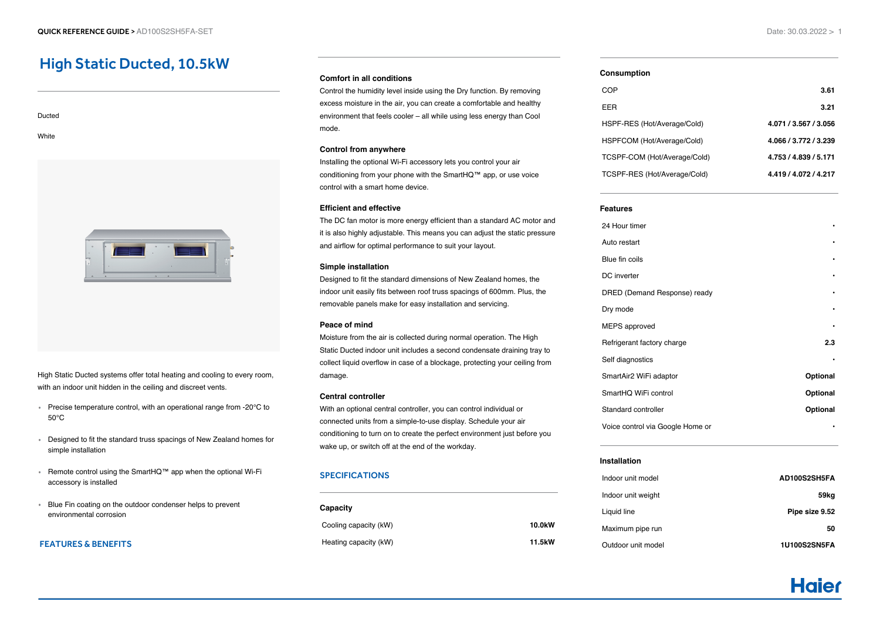# High Static Ducted, 10.5kW

Ducted **White** 

High Static Ducted systems offer total heating and cooling to every room, with an indoor unit hidden in the ceiling and discreet vents.

- Precise temperature control, with an operational range from -20°C to 50°C
- Designed to fit the standard truss spacings of New Zealand homes for simple installation
- Remote control using the SmartHQ™ app when the optional Wi-Fi accessory is installed
- Blue Fin coating on the outdoor condenser helps to prevent environmental corrosion

# FEATURES & BENEFITS

#### **Comfort in all conditions**

Control the humidity level inside using the Dry function. By removing excess moisture in the air, you can create a comfortable and healthy environment that feels cooler – all while using less energy than Cool mode.

#### **Control from anywhere**

Installing the optional Wi-Fi accessory lets you control your air conditioning from your phone with the SmartHQ™ app, or use voice control with a smart home device.

#### **Efficient and effective**

The DC fan motor is more energy efficient than a standard AC motor and it is also highly adjustable. This means you can adjust the static pressure and airflow for optimal performance to suit your layout.

#### **Simple installation**

Designed to fit the standard dimensions of New Zealand homes, the indoor unit easily fits between roof truss spacings of 600mm. Plus, the removable panels make for easy installation and servicing.

#### **Peace of mind**

Moisture from the air is collected during normal operation. The High Static Ducted indoor unit includes a second condensate draining tray to collect liquid overflow in case of a blockage, protecting your ceiling from damage.

# **Central controller**

With an optional central controller, you can control individual or connected units from a simple-to-use display. Schedule your air conditioning to turn on to create the perfect environment just before you wake up, or switch off at the end of the workday.

# SPECIFICATIONS

| Capacity              |                     |
|-----------------------|---------------------|
| Cooling capacity (kW) | 10.0 <sub>k</sub> W |
| Heating capacity (kW) | 11.5kW              |

#### **Consumption**

| COP                          | 3.61                  |
|------------------------------|-----------------------|
| EER                          | 3.21                  |
| HSPF-RES (Hot/Average/Cold)  | 4.071 / 3.567 / 3.056 |
| HSPFCOM (Hot/Average/Cold)   | 4.066 / 3.772 / 3.239 |
| TCSPF-COM (Hot/Average/Cold) | 4.753 / 4.839 / 5.171 |
| TCSPF-RES (Hot/Average/Cold) | 4.419 / 4.072 / 4.217 |
|                              |                       |

#### **Features**

| 24 Hour timer                    |          |
|----------------------------------|----------|
| Auto restart                     |          |
| Blue fin coils                   |          |
| DC inverter                      |          |
| DRED (Demand Response) ready     |          |
| Dry mode                         |          |
| <b>MEPS</b> approved             |          |
| Refrigerant factory charge       | 2.3      |
| Self diagnostics                 |          |
| SmartAir2 WiFi adaptor           | Optional |
| SmartHQ WiFi control             | Optional |
| Standard controller              | Optional |
| Voice control via Google Home or |          |
|                                  |          |

# **Installation**

| Indoor unit model  | AD100S2SH5FA   |
|--------------------|----------------|
| Indoor unit weight | 59kg           |
| Liquid line        | Pipe size 9.52 |
| Maximum pipe run   | 50             |
| Outdoor unit model | 1U100S2SN5FA   |

# **Haje**